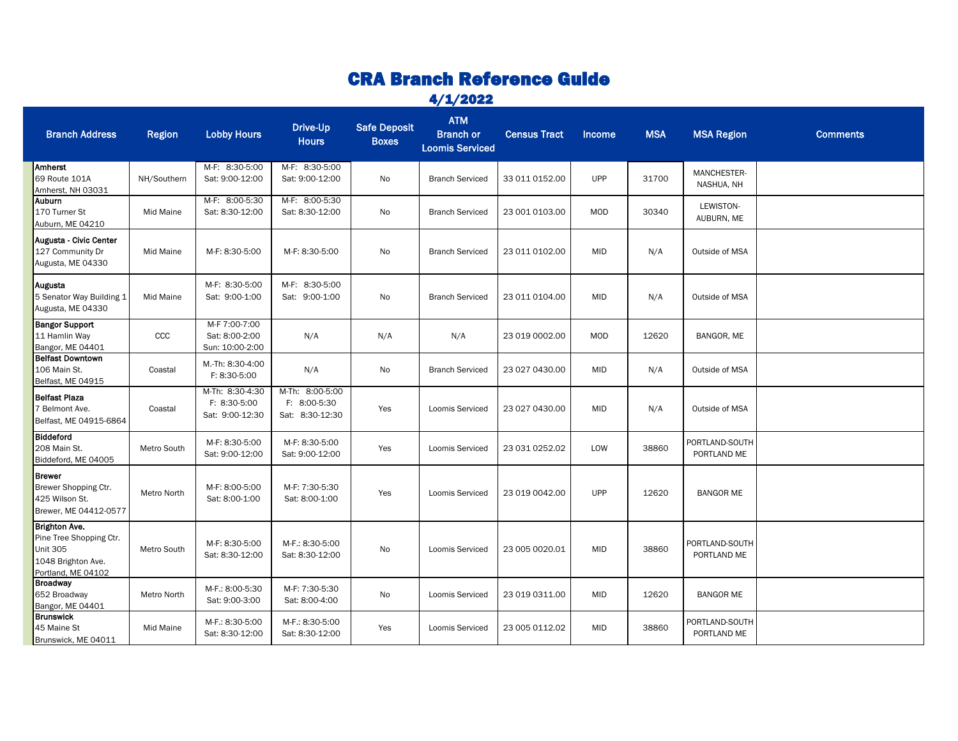## CRA Branch Reference Guide

4/1/2022

| <b>Branch Address</b>                                                                                   | <b>Region</b> | <b>Lobby Hours</b>                                 | Drive-Up<br><b>Hours</b>                           | <b>Safe Deposit</b><br><b>Boxes</b> | <b>ATM</b><br><b>Branch or</b><br><b>Loomis Serviced</b> | <b>Census Tract</b> | <b>Income</b> | <b>MSA</b> | <b>MSA Region</b>             | <b>Comments</b> |
|---------------------------------------------------------------------------------------------------------|---------------|----------------------------------------------------|----------------------------------------------------|-------------------------------------|----------------------------------------------------------|---------------------|---------------|------------|-------------------------------|-----------------|
| Amherst<br>69 Route 101A<br>Amherst, NH 03031                                                           | NH/Southern   | M-F: 8:30-5:00<br>Sat: 9:00-12:00                  | M-F: 8:30-5:00<br>Sat: 9:00-12:00                  | No                                  | <b>Branch Serviced</b>                                   | 33 011 0152.00      | <b>UPP</b>    | 31700      | MANCHESTER-<br>NASHUA, NH     |                 |
| Auburn<br>170 Turner St<br>Auburn, ME 04210                                                             | Mid Maine     | M-F: 8:00-5:30<br>Sat: 8:30-12:00                  | M-F: 8:00-5:30<br>Sat: 8:30-12:00                  | No                                  | <b>Branch Serviced</b>                                   | 23 001 0103.00      | MOD           | 30340      | LEWISTON-<br>AUBURN, ME       |                 |
| Augusta - Civic Center<br>127 Community Dr<br>Augusta, ME 04330                                         | Mid Maine     | M-F: 8:30-5:00                                     | M-F: 8:30-5:00                                     | No                                  | <b>Branch Serviced</b>                                   | 23 011 0102.00      | <b>MID</b>    | N/A        | Outside of MSA                |                 |
| Augusta<br>5 Senator Way Building 1<br>Augusta, ME 04330                                                | Mid Maine     | M-F: 8:30-5:00<br>Sat: 9:00-1:00                   | M-F: 8:30-5:00<br>Sat: 9:00-1:00                   | No                                  | <b>Branch Serviced</b>                                   | 23 011 0104.00      | <b>MID</b>    | N/A        | Outside of MSA                |                 |
| <b>Bangor Support</b><br>11 Hamlin Way<br>Bangor, ME 04401                                              | ccc           | M-F 7:00-7:00<br>Sat: 8:00-2:00<br>Sun: 10:00-2:00 | N/A                                                | N/A                                 | N/A                                                      | 23 019 0002.00      | <b>MOD</b>    | 12620      | BANGOR, ME                    |                 |
| <b>Belfast Downtown</b><br>106 Main St.<br>Belfast, ME 04915                                            | Coastal       | M.-Th: 8:30-4:00<br>F: 8:30-5:00                   | N/A                                                | No                                  | <b>Branch Serviced</b>                                   | 23 027 0430.00      | <b>MID</b>    | N/A        | Outside of MSA                |                 |
| <b>Belfast Plaza</b><br>7 Belmont Ave.<br>Belfast, ME 04915-6864                                        | Coastal       | M-Th: 8:30-4:30<br>F: 8:30-5:00<br>Sat: 9:00-12:30 | M-Th: 8:00-5:00<br>F: 8:00-5:30<br>Sat: 8:30-12:30 | Yes                                 | <b>Loomis Serviced</b>                                   | 23 027 0430.00      | <b>MID</b>    | N/A        | Outside of MSA                |                 |
| <b>Biddeford</b><br>208 Main St.<br>Biddeford, ME 04005                                                 | Metro South   | M-F: 8:30-5:00<br>Sat: 9:00-12:00                  | M-F: 8:30-5:00<br>Sat: 9:00-12:00                  | Yes                                 | Loomis Serviced                                          | 23 031 0252.02      | LOW           | 38860      | PORTLAND-SOUTH<br>PORTLAND ME |                 |
| <b>Brewer</b><br>Brewer Shopping Ctr.<br>425 Wilson St.<br>Brewer, ME 04412-0577                        | Metro North   | M-F: 8:00-5:00<br>Sat: 8:00-1:00                   | M-F: 7:30-5:30<br>Sat: 8:00-1:00                   | Yes                                 | <b>Loomis Serviced</b>                                   | 23 019 0042.00      | <b>UPP</b>    | 12620      | <b>BANGOR ME</b>              |                 |
| Brighton Ave.<br>Pine Tree Shopping Ctr.<br><b>Unit 305</b><br>1048 Brighton Ave.<br>Portland, ME 04102 | Metro South   | M-F: 8:30-5:00<br>Sat: 8:30-12:00                  | M-F.: 8:30-5:00<br>Sat: 8:30-12:00                 | No                                  | Loomis Serviced                                          | 23 005 0020.01      | MID           | 38860      | PORTLAND-SOUTH<br>PORTLAND ME |                 |
| <b>Broadway</b><br>652 Broadway<br>Bangor, ME 04401                                                     | Metro North   | M-F.: 8:00-5:30<br>Sat: 9:00-3:00                  | M-F: 7:30-5:30<br>Sat: 8:00-4:00                   | No                                  | Loomis Serviced                                          | 23 019 0311.00      | <b>MID</b>    | 12620      | <b>BANGOR ME</b>              |                 |
| <b>Brunswick</b><br>45 Maine St<br>Brunswick, ME 04011                                                  | Mid Maine     | M-F.: 8:30-5:00<br>Sat: 8:30-12:00                 | M-F.: 8:30-5:00<br>Sat: 8:30-12:00                 | Yes                                 | Loomis Serviced                                          | 23 005 0112.02      | MID           | 38860      | PORTLAND-SOUTH<br>PORTLAND ME |                 |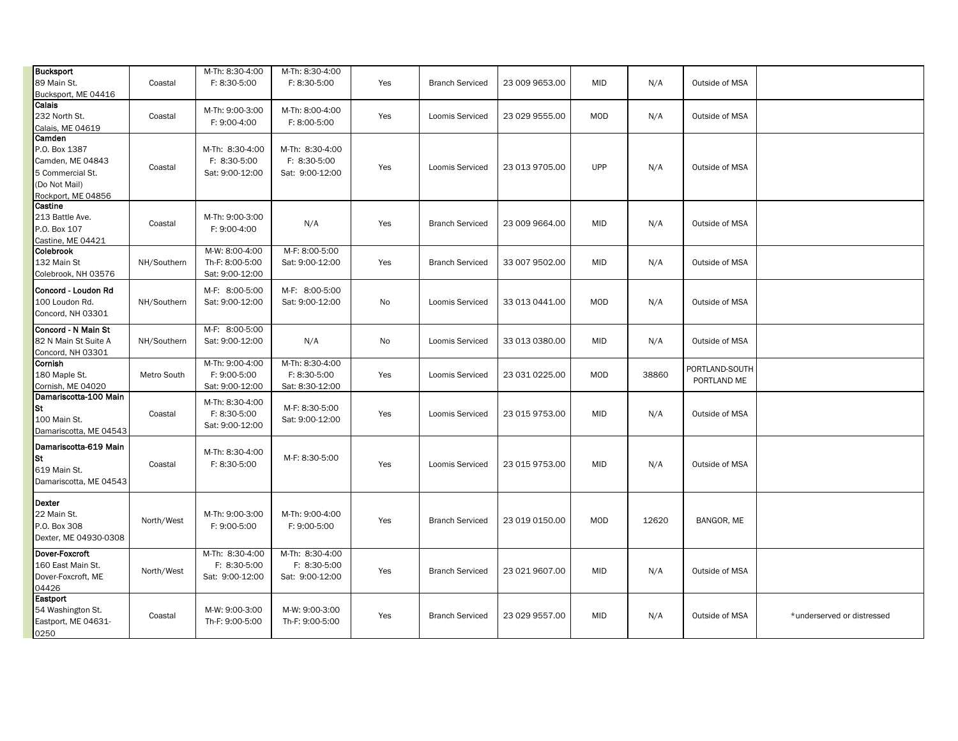| <b>Bucksport</b><br>89 Main St.<br>Bucksport, ME 04416                                                 | Coastal     | M-Th: 8:30-4:00<br>F: 8:30-5:00                      | M-Th: 8:30-4:00<br>F: 8:30-5:00                    | Yes | <b>Branch Serviced</b> | 23 009 9653.00 | <b>MID</b> | N/A   | Outside of MSA                |                            |
|--------------------------------------------------------------------------------------------------------|-------------|------------------------------------------------------|----------------------------------------------------|-----|------------------------|----------------|------------|-------|-------------------------------|----------------------------|
| Calais<br>232 North St.<br>Calais, ME 04619                                                            | Coastal     | M-Th: 9:00-3:00<br>F: 9:00-4:00                      | M-Th: 8:00-4:00<br>F: 8:00-5:00                    | Yes | Loomis Serviced        | 23 029 9555.00 | MOD        | N/A   | Outside of MSA                |                            |
| Camden<br>P.O. Box 1387<br>Camden, ME 04843<br>5 Commercial St.<br>(Do Not Mail)<br>Rockport, ME 04856 | Coastal     | M-Th: 8:30-4:00<br>F: 8:30-5:00<br>Sat: 9:00-12:00   | M-Th: 8:30-4:00<br>F: 8:30-5:00<br>Sat: 9:00-12:00 | Yes | Loomis Serviced        | 23 013 9705.00 | UPP        | N/A   | Outside of MSA                |                            |
| Castine<br>213 Battle Ave.<br>P.O. Box 107<br>Castine, ME 04421                                        | Coastal     | M-Th: 9:00-3:00<br>F: 9:00-4:00                      | N/A                                                | Yes | <b>Branch Serviced</b> | 23 009 9664.00 | MID        | N/A   | Outside of MSA                |                            |
| Colebrook<br>132 Main St<br>Colebrook, NH 03576                                                        | NH/Southern | M-W: 8:00-4:00<br>Th-F: 8:00-5:00<br>Sat: 9:00-12:00 | M-F: 8:00-5:00<br>Sat: 9:00-12:00                  | Yes | <b>Branch Serviced</b> | 33 007 9502.00 | MID        | N/A   | Outside of MSA                |                            |
| Concord - Loudon Rd<br>100 Loudon Rd.<br>Concord, NH 03301                                             | NH/Southern | M-F: 8:00-5:00<br>Sat: 9:00-12:00                    | M-F: 8:00-5:00<br>Sat: 9:00-12:00                  | No  | Loomis Serviced        | 33 013 0441.00 | MOD        | N/A   | Outside of MSA                |                            |
| Concord - N Main St<br>82 N Main St Suite A<br>Concord, NH 03301                                       | NH/Southern | M-F: 8:00-5:00<br>Sat: 9:00-12:00                    | N/A                                                | No  | Loomis Serviced        | 33 013 0380.00 | <b>MID</b> | N/A   | Outside of MSA                |                            |
| Cornish<br>180 Maple St.<br>Cornish, ME 04020                                                          | Metro South | M-Th: 9:00-4:00<br>F: 9:00-5:00<br>Sat: 9:00-12:00   | M-Th: 8:30-4:00<br>F: 8:30-5:00<br>Sat: 8:30-12:00 | Yes | Loomis Serviced        | 23 031 0225.00 | MOD        | 38860 | PORTLAND-SOUTH<br>PORTLAND ME |                            |
| Damariscotta-100 Main<br>St<br>100 Main St.<br>Damariscotta, ME 04543                                  | Coastal     | M-Th: 8:30-4:00<br>F: 8:30-5:00<br>Sat: 9:00-12:00   | M-F: 8:30-5:00<br>Sat: 9:00-12:00                  | Yes | Loomis Serviced        | 23 015 9753.00 | MID        | N/A   | Outside of MSA                |                            |
| Damariscotta-619 Main<br>St<br>619 Main St.<br>Damariscotta, ME 04543                                  | Coastal     | M-Th: 8:30-4:00<br>F: 8:30-5:00                      | M-F: 8:30-5:00                                     | Yes | Loomis Serviced        | 23 015 9753.00 | <b>MID</b> | N/A   | Outside of MSA                |                            |
| Dexter<br>22 Main St.<br>P.O. Box 308<br>Dexter, ME 04930-0308                                         | North/West  | M-Th: 9:00-3:00<br>F: 9:00-5:00                      | M-Th: 9:00-4:00<br>F: 9:00-5:00                    | Yes | <b>Branch Serviced</b> | 23 019 0150.00 | MOD        | 12620 | BANGOR, ME                    |                            |
| Dover-Foxcroft<br>160 East Main St.<br>Dover-Foxcroft, ME<br>04426                                     | North/West  | M-Th: 8:30-4:00<br>F: 8:30-5:00<br>Sat: 9:00-12:00   | M-Th: 8:30-4:00<br>F: 8:30-5:00<br>Sat: 9:00-12:00 | Yes | <b>Branch Serviced</b> | 23 021 9607.00 | <b>MID</b> | N/A   | Outside of MSA                |                            |
| Eastport<br>54 Washington St.<br>Eastport, ME 04631-<br>0250                                           | Coastal     | M-W: 9:00-3:00<br>Th-F: 9:00-5:00                    | M-W: 9:00-3:00<br>Th-F: 9:00-5:00                  | Yes | <b>Branch Serviced</b> | 23 029 9557.00 | MID        | N/A   | Outside of MSA                | *underserved or distressed |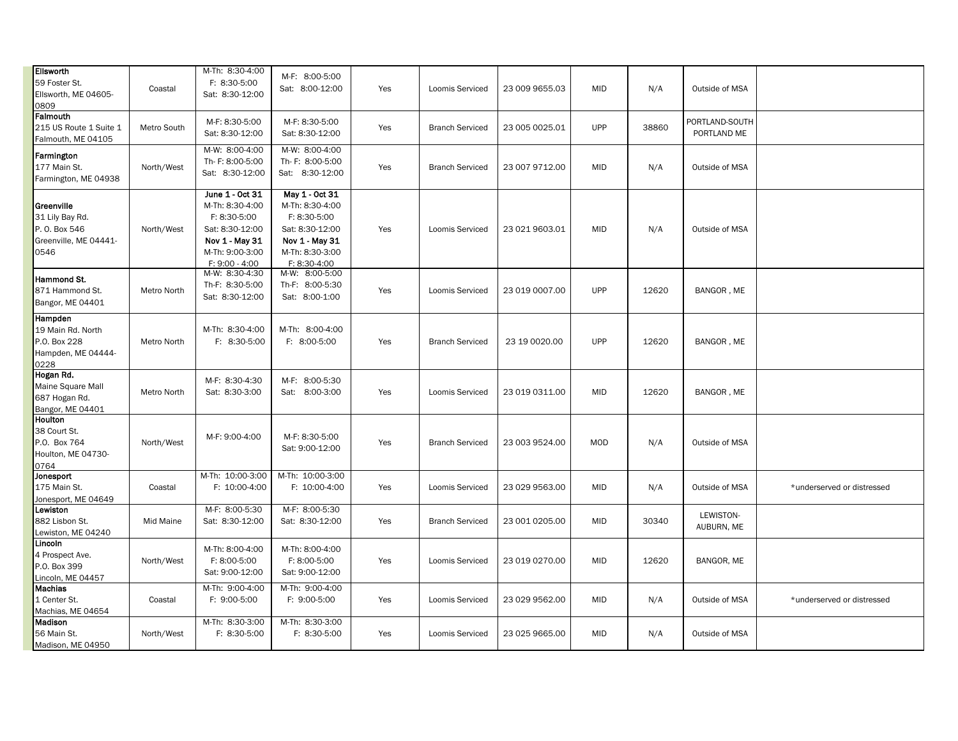| Ellsworth<br>59 Foster St.<br>Ellsworth, ME 04605-<br>0809                      | Coastal     | M-Th: 8:30-4:00<br>F: 8:30-5:00<br>Sat: 8:30-12:00                                                                           | M-F: 8:00-5:00<br>Sat: 8:00-12:00                                                                                         | Yes | Loomis Serviced        | 23 009 9655.03 | <b>MID</b> | N/A   | Outside of MSA                |                            |
|---------------------------------------------------------------------------------|-------------|------------------------------------------------------------------------------------------------------------------------------|---------------------------------------------------------------------------------------------------------------------------|-----|------------------------|----------------|------------|-------|-------------------------------|----------------------------|
| Falmouth<br>215 US Route 1 Suite 1<br>Falmouth, ME 04105                        | Metro South | M-F: 8:30-5:00<br>Sat: 8:30-12:00                                                                                            | M-F: 8:30-5:00<br>Sat: 8:30-12:00                                                                                         | Yes | <b>Branch Serviced</b> | 23 005 0025.01 | <b>UPP</b> | 38860 | PORTLAND-SOUTH<br>PORTLAND ME |                            |
| Farmington<br>177 Main St.<br>Farmington, ME 04938                              | North/West  | M-W: 8:00-4:00<br>Th- F: 8:00-5:00<br>Sat: 8:30-12:00                                                                        | M-W: 8:00-4:00<br>Th- F: 8:00-5:00<br>Sat: 8:30-12:00                                                                     | Yes | <b>Branch Serviced</b> | 23 007 9712.00 | <b>MID</b> | N/A   | Outside of MSA                |                            |
| Greenville<br>31 Lily Bay Rd.<br>P. O. Box 546<br>Greenville, ME 04441-<br>0546 | North/West  | June 1 - Oct 31<br>M-Th: 8:30-4:00<br>F: 8:30-5:00<br>Sat: 8:30-12:00<br>Nov 1 - May 31<br>M-Th: 9:00-3:00<br>F: 9:00 - 4:00 | May 1 - Oct 31<br>M-Th: 8:30-4:00<br>F: 8:30-5:00<br>Sat: 8:30-12:00<br>Nov 1 - May 31<br>M-Th: 8:30-3:00<br>F: 8:30-4:00 | Yes | Loomis Serviced        | 23 021 9603.01 | <b>MID</b> | N/A   | Outside of MSA                |                            |
| Hammond St.<br>871 Hammond St.<br>Bangor, ME 04401                              | Metro North | M-W: 8:30-4:30<br>Th-F: 8:30-5:00<br>Sat: 8:30-12:00                                                                         | M-W: 8:00-5:00<br>Th-F: 8:00-5:30<br>Sat: 8:00-1:00                                                                       | Yes | Loomis Serviced        | 23 019 0007.00 | <b>UPP</b> | 12620 | BANGOR, ME                    |                            |
| Hampden<br>19 Main Rd. North<br>P.O. Box 228<br>Hampden, ME 04444-<br>0228      | Metro North | M-Th: 8:30-4:00<br>F: 8:30-5:00                                                                                              | M-Th: 8:00-4:00<br>F: 8:00-5:00                                                                                           | Yes | <b>Branch Serviced</b> | 23 19 0020.00  | <b>UPP</b> | 12620 | BANGOR, ME                    |                            |
| Hogan Rd.<br>Maine Square Mall<br>687 Hogan Rd.<br>Bangor, ME 04401             | Metro North | M-F: 8:30-4:30<br>Sat: 8:30-3:00                                                                                             | M-F: 8:00-5:30<br>Sat: 8:00-3:00                                                                                          | Yes | Loomis Serviced        | 23 019 0311.00 | <b>MID</b> | 12620 | BANGOR, ME                    |                            |
| Houlton<br>38 Court St.<br>P.O. Box 764<br>Houlton, ME 04730-<br>0764           | North/West  | M-F: 9:00-4:00                                                                                                               | M-F: 8:30-5:00<br>Sat: 9:00-12:00                                                                                         | Yes | <b>Branch Serviced</b> | 23 003 9524.00 | MOD        | N/A   | Outside of MSA                |                            |
| Jonesport<br>175 Main St.<br>Jonesport, ME 04649                                | Coastal     | M-Th: 10:00-3:00<br>F: 10:00-4:00                                                                                            | M-Th: 10:00-3:00<br>F: 10:00-4:00                                                                                         | Yes | Loomis Serviced        | 23 029 9563.00 | <b>MID</b> | N/A   | Outside of MSA                | *underserved or distressed |
| Lewiston<br>882 Lisbon St.<br>Lewiston, ME 04240                                | Mid Maine   | M-F: 8:00-5:30<br>Sat: 8:30-12:00                                                                                            | M-F: 8:00-5:30<br>Sat: 8:30-12:00                                                                                         | Yes | <b>Branch Serviced</b> | 23 001 0205.00 | <b>MID</b> | 30340 | LEWISTON-<br>AUBURN, ME       |                            |
| Lincoln<br>4 Prospect Ave.<br>P.O. Box 399<br>Lincoln, ME 04457                 | North/West  | M-Th: 8:00-4:00<br>F: 8:00-5:00<br>Sat: 9:00-12:00                                                                           | M-Th: 8:00-4:00<br>F: 8:00-5:00<br>Sat: 9:00-12:00                                                                        | Yes | Loomis Serviced        | 23 019 0270.00 | <b>MID</b> | 12620 | BANGOR, ME                    |                            |
| Machias<br>1 Center St.<br>Machias, ME 04654                                    | Coastal     | M-Th: 9:00-4:00<br>F: 9:00-5:00                                                                                              | M-Th: 9:00-4:00<br>F: 9:00-5:00                                                                                           | Yes | Loomis Serviced        | 23 029 9562.00 | <b>MID</b> | N/A   | Outside of MSA                | *underserved or distressed |
| Madison<br>56 Main St.<br>Madison, ME 04950                                     | North/West  | M-Th: 8:30-3:00<br>F: 8:30-5:00                                                                                              | M-Th: 8:30-3:00<br>F: 8:30-5:00                                                                                           | Yes | Loomis Serviced        | 23 025 9665.00 | <b>MID</b> | N/A   | Outside of MSA                |                            |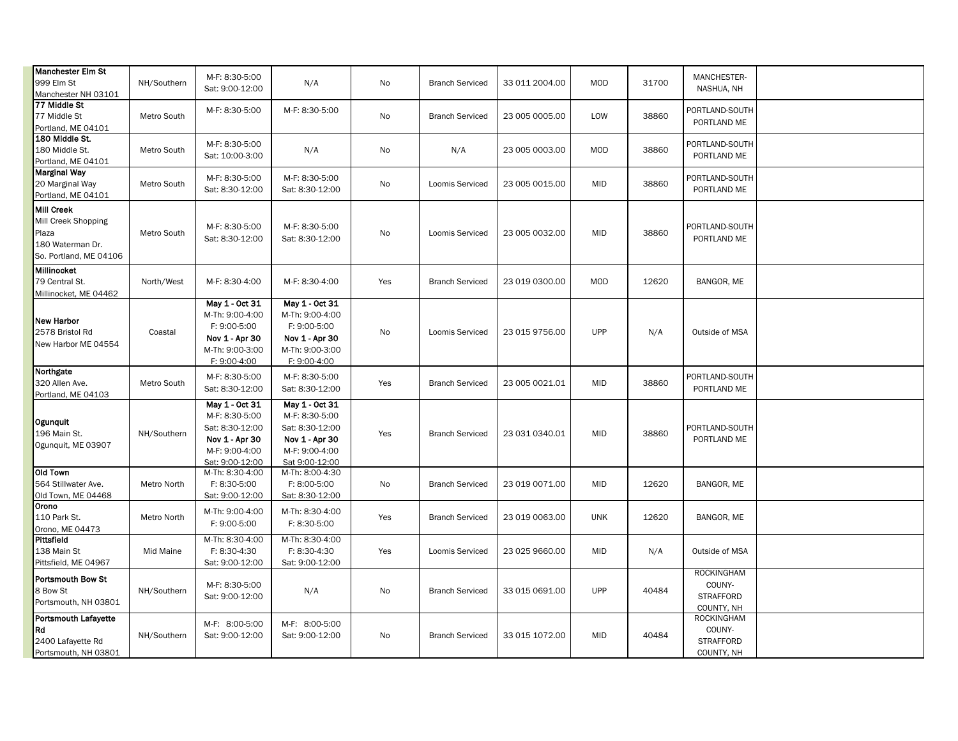| Manchester Elm St<br>999 Elm St<br>Manchester NH 03101                                   | NH/Southern | M-F: 8:30-5:00<br>Sat: 9:00-12:00                                                                          | N/A                                                                                                       | No  | <b>Branch Serviced</b> | 33 011 2004.00 | MOD        | 31700 | MANCHESTER-<br>NASHUA, NH                                     |  |
|------------------------------------------------------------------------------------------|-------------|------------------------------------------------------------------------------------------------------------|-----------------------------------------------------------------------------------------------------------|-----|------------------------|----------------|------------|-------|---------------------------------------------------------------|--|
| 77 Middle St<br>77 Middle St<br>Portland, ME 04101                                       | Metro South | M-F: 8:30-5:00                                                                                             | M-F: 8:30-5:00                                                                                            | No  | <b>Branch Serviced</b> | 23 005 0005.00 | LOW        | 38860 | PORTLAND-SOUTH<br>PORTLAND ME                                 |  |
| 180 Middle St.<br>180 Middle St.<br>Portland, ME 04101                                   | Metro South | M-F: 8:30-5:00<br>Sat: 10:00-3:00                                                                          | N/A                                                                                                       | No  | N/A                    | 23 005 0003.00 | MOD        | 38860 | PORTLAND-SOUTH<br>PORTLAND ME                                 |  |
| Marginal Way<br>20 Marginal Way<br>Portland, ME 04101                                    | Metro South | M-F: 8:30-5:00<br>Sat: 8:30-12:00                                                                          | M-F: 8:30-5:00<br>Sat: 8:30-12:00                                                                         | No  | Loomis Serviced        | 23 005 0015.00 | <b>MID</b> | 38860 | PORTLAND-SOUTH<br>PORTLAND ME                                 |  |
| Mill Creek<br>Mill Creek Shopping<br>Plaza<br>180 Waterman Dr.<br>So. Portland, ME 04106 | Metro South | M-F: 8:30-5:00<br>Sat: 8:30-12:00                                                                          | M-F: 8:30-5:00<br>Sat: 8:30-12:00                                                                         | No  | Loomis Serviced        | 23 005 0032.00 | <b>MID</b> | 38860 | PORTLAND-SOUTH<br>PORTLAND ME                                 |  |
| Millinocket<br>79 Central St.<br>Millinocket, ME 04462                                   | North/West  | M-F: 8:30-4:00                                                                                             | M-F: 8:30-4:00                                                                                            | Yes | <b>Branch Serviced</b> | 23 019 0300.00 | MOD        | 12620 | BANGOR, ME                                                    |  |
| New Harbor<br>2578 Bristol Rd<br>New Harbor ME 04554                                     | Coastal     | May 1 - Oct 31<br>M-Th: 9:00-4:00<br>F: 9:00-5:00<br>Nov 1 - Apr 30<br>M-Th: 9:00-3:00<br>F: 9:00-4:00     | May 1 - Oct 31<br>M-Th: 9:00-4:00<br>F: 9:00-5:00<br>Nov 1 - Apr 30<br>M-Th: 9:00-3:00<br>F: 9:00-4:00    | No  | Loomis Serviced        | 23 015 9756.00 | <b>UPP</b> | N/A   | Outside of MSA                                                |  |
| Northgate<br>320 Allen Ave.<br>Portland, ME 04103                                        | Metro South | M-F: 8:30-5:00<br>Sat: 8:30-12:00                                                                          | M-F: 8:30-5:00<br>Sat: 8:30-12:00                                                                         | Yes | <b>Branch Serviced</b> | 23 005 0021.01 | <b>MID</b> | 38860 | PORTLAND-SOUTH<br>PORTLAND ME                                 |  |
| Ogunquit<br>196 Main St.<br>Ogunquit, ME 03907                                           | NH/Southern | May 1 - Oct 31<br>M-F: 8:30-5:00<br>Sat: 8:30-12:00<br>Nov 1 - Apr 30<br>M-F: 9:00-4:00<br>Sat: 9:00-12:00 | May 1 - Oct 31<br>M-F: 8:30-5:00<br>Sat: 8:30-12:00<br>Nov 1 - Apr 30<br>M-F: 9:00-4:00<br>Sat 9:00-12:00 | Yes | <b>Branch Serviced</b> | 23 031 0340.01 | <b>MID</b> | 38860 | PORTLAND-SOUTH<br>PORTLAND ME                                 |  |
| Old Town<br>564 Stillwater Ave.<br>Old Town, ME 04468                                    | Metro North | M-Th: 8:30-4:00<br>F: 8:30-5:00<br>Sat: 9:00-12:00                                                         | M-Th: 8:00-4:30<br>F: 8:00-5:00<br>Sat: 8:30-12:00                                                        | No  | <b>Branch Serviced</b> | 23 019 0071.00 | <b>MID</b> | 12620 | BANGOR, ME                                                    |  |
| Orono<br>110 Park St.<br>Orono, ME 04473                                                 | Metro North | M-Th: 9:00-4:00<br>F: 9:00-5:00                                                                            | M-Th: 8:30-4:00<br>F: 8:30-5:00                                                                           | Yes | <b>Branch Serviced</b> | 23 019 0063.00 | <b>UNK</b> | 12620 | BANGOR, ME                                                    |  |
| Pittsfield<br>138 Main St<br>Pittsfield, ME 04967                                        | Mid Maine   | M-Th: 8:30-4:00<br>F: 8:30-4:30<br>Sat: 9:00-12:00                                                         | M-Th: 8:30-4:00<br>F: 8:30-4:30<br>Sat: 9:00-12:00                                                        | Yes | Loomis Serviced        | 23 025 9660.00 | <b>MID</b> | N/A   | Outside of MSA                                                |  |
| Portsmouth Bow St<br>8 Bow St<br>Portsmouth, NH 03801                                    | NH/Southern | M-F: 8:30-5:00<br>Sat: 9:00-12:00                                                                          | N/A                                                                                                       | No  | <b>Branch Serviced</b> | 33 015 0691.00 | <b>UPP</b> | 40484 | <b>ROCKINGHAM</b><br>COUNY-<br><b>STRAFFORD</b><br>COUNTY, NH |  |
| Portsmouth Lafayette<br>Rd<br>2400 Lafayette Rd<br>Portsmouth, NH 03801                  | NH/Southern | M-F: 8:00-5:00<br>Sat: 9:00-12:00                                                                          | M-F: 8:00-5:00<br>Sat: 9:00-12:00                                                                         | No  | <b>Branch Serviced</b> | 33 015 1072.00 | <b>MID</b> | 40484 | <b>ROCKINGHAM</b><br>COUNY-<br><b>STRAFFORD</b><br>COUNTY, NH |  |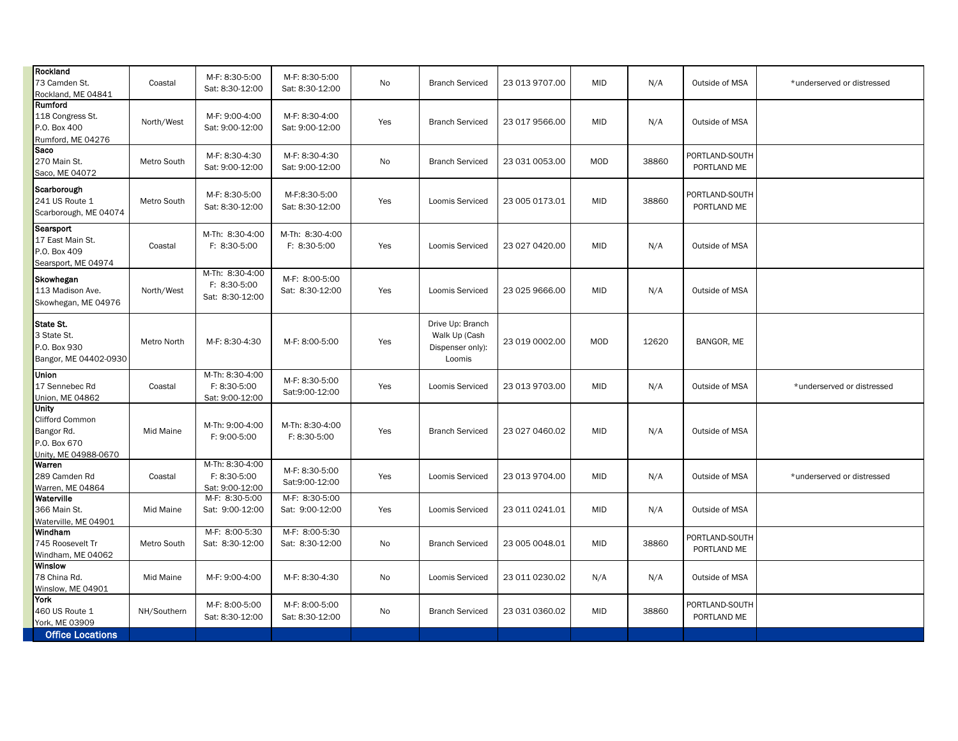| Rockland<br>73 Camden St.<br>Rockland, ME 04841                                       | Coastal     | M-F: 8:30-5:00<br>Sat: 8:30-12:00                  | M-F: 8:30-5:00<br>Sat: 8:30-12:00 | No  | <b>Branch Serviced</b>                                          | 23 013 9707.00 | <b>MID</b> | N/A   | Outside of MSA                | *underserved or distressed |
|---------------------------------------------------------------------------------------|-------------|----------------------------------------------------|-----------------------------------|-----|-----------------------------------------------------------------|----------------|------------|-------|-------------------------------|----------------------------|
| Rumford<br>118 Congress St.<br>P.O. Box 400<br>Rumford, ME 04276                      | North/West  | M-F: 9:00-4:00<br>Sat: 9:00-12:00                  | M-F: 8:30-4:00<br>Sat: 9:00-12:00 | Yes | <b>Branch Serviced</b>                                          | 23 017 9566.00 | <b>MID</b> | N/A   | Outside of MSA                |                            |
| Saco<br>270 Main St.<br>Saco, ME 04072                                                | Metro South | M-F: 8:30-4:30<br>Sat: 9:00-12:00                  | M-F: 8:30-4:30<br>Sat: 9:00-12:00 | No  | <b>Branch Serviced</b>                                          | 23 031 0053.00 | <b>MOD</b> | 38860 | PORTLAND-SOUTH<br>PORTLAND ME |                            |
| Scarborough<br>241 US Route 1<br>Scarborough, ME 04074                                | Metro South | M-F: 8:30-5:00<br>Sat: 8:30-12:00                  | M-F:8:30-5:00<br>Sat: 8:30-12:00  | Yes | Loomis Serviced                                                 | 23 005 0173.01 | <b>MID</b> | 38860 | PORTLAND-SOUTH<br>PORTLAND ME |                            |
| Searsport<br>17 East Main St.<br>P.O. Box 409<br>Searsport, ME 04974                  | Coastal     | M-Th: 8:30-4:00<br>F: 8:30-5:00                    | M-Th: 8:30-4:00<br>F: 8:30-5:00   | Yes | Loomis Serviced                                                 | 23 027 0420.00 | <b>MID</b> | N/A   | Outside of MSA                |                            |
| Skowhegan<br>113 Madison Ave.<br>Skowhegan, ME 04976                                  | North/West  | M-Th: 8:30-4:00<br>F: 8:30-5:00<br>Sat: 8:30-12:00 | M-F: 8:00-5:00<br>Sat: 8:30-12:00 | Yes | Loomis Serviced                                                 | 23 025 9666.00 | <b>MID</b> | N/A   | Outside of MSA                |                            |
| State St.<br>3 State St.<br>P.O. Box 930<br>Bangor, ME 04402-0930                     | Metro North | M-F: 8:30-4:30                                     | M-F: 8:00-5:00                    | Yes | Drive Up: Branch<br>Walk Up (Cash<br>Dispenser only):<br>Loomis | 23 019 0002.00 | <b>MOD</b> | 12620 | BANGOR, ME                    |                            |
| <b>Union</b><br>17 Sennebec Rd<br>Union, ME 04862                                     | Coastal     | M-Th: 8:30-4:00<br>F: 8:30-5:00<br>Sat: 9:00-12:00 | M-F: 8:30-5:00<br>Sat:9:00-12:00  | Yes | Loomis Serviced                                                 | 23 013 9703.00 | <b>MID</b> | N/A   | Outside of MSA                | *underserved or distressed |
| <b>Unity</b><br>Clifford Common<br>Bangor Rd.<br>P.O. Box 670<br>Unity, ME 04988-0670 | Mid Maine   | M-Th: 9:00-4:00<br>F: 9:00-5:00                    | M-Th: 8:30-4:00<br>F: 8:30-5:00   | Yes | <b>Branch Serviced</b>                                          | 23 027 0460.02 | <b>MID</b> | N/A   | Outside of MSA                |                            |
| Warren<br>289 Camden Rd<br>Warren, ME 04864                                           | Coastal     | M-Th: 8:30-4:00<br>F: 8:30-5:00<br>Sat: 9:00-12:00 | M-F: 8:30-5:00<br>Sat:9:00-12:00  | Yes | Loomis Serviced                                                 | 23 013 9704.00 | <b>MID</b> | N/A   | Outside of MSA                | *underserved or distressed |
| Waterville<br>366 Main St.<br>Waterville, ME 04901                                    | Mid Maine   | M-F: 8:30-5:00<br>Sat: 9:00-12:00                  | M-F: 8:30-5:00<br>Sat: 9:00-12:00 | Yes | Loomis Serviced                                                 | 23 011 0241.01 | <b>MID</b> | N/A   | Outside of MSA                |                            |
| Windham<br>745 Roosevelt Tr<br>Windham, ME 04062                                      | Metro South | M-F: 8:00-5:30<br>Sat: 8:30-12:00                  | M-F: 8:00-5:30<br>Sat: 8:30-12:00 | No  | <b>Branch Serviced</b>                                          | 23 005 0048.01 | <b>MID</b> | 38860 | PORTLAND-SOUTH<br>PORTLAND ME |                            |
| Winslow<br>78 China Rd.<br>Winslow, ME 04901                                          | Mid Maine   | M-F: 9:00-4:00                                     | M-F: 8:30-4:30                    | No  | Loomis Serviced                                                 | 23 011 0230.02 | N/A        | N/A   | Outside of MSA                |                            |
| York<br>460 US Route 1<br>York, ME 03909<br><b>Office Locations</b>                   | NH/Southern | M-F: 8:00-5:00<br>Sat: 8:30-12:00                  | M-F: 8:00-5:00<br>Sat: 8:30-12:00 | No  | <b>Branch Serviced</b>                                          | 23 031 0360.02 | <b>MID</b> | 38860 | PORTLAND-SOUTH<br>PORTLAND ME |                            |
|                                                                                       |             |                                                    |                                   |     |                                                                 |                |            |       |                               |                            |